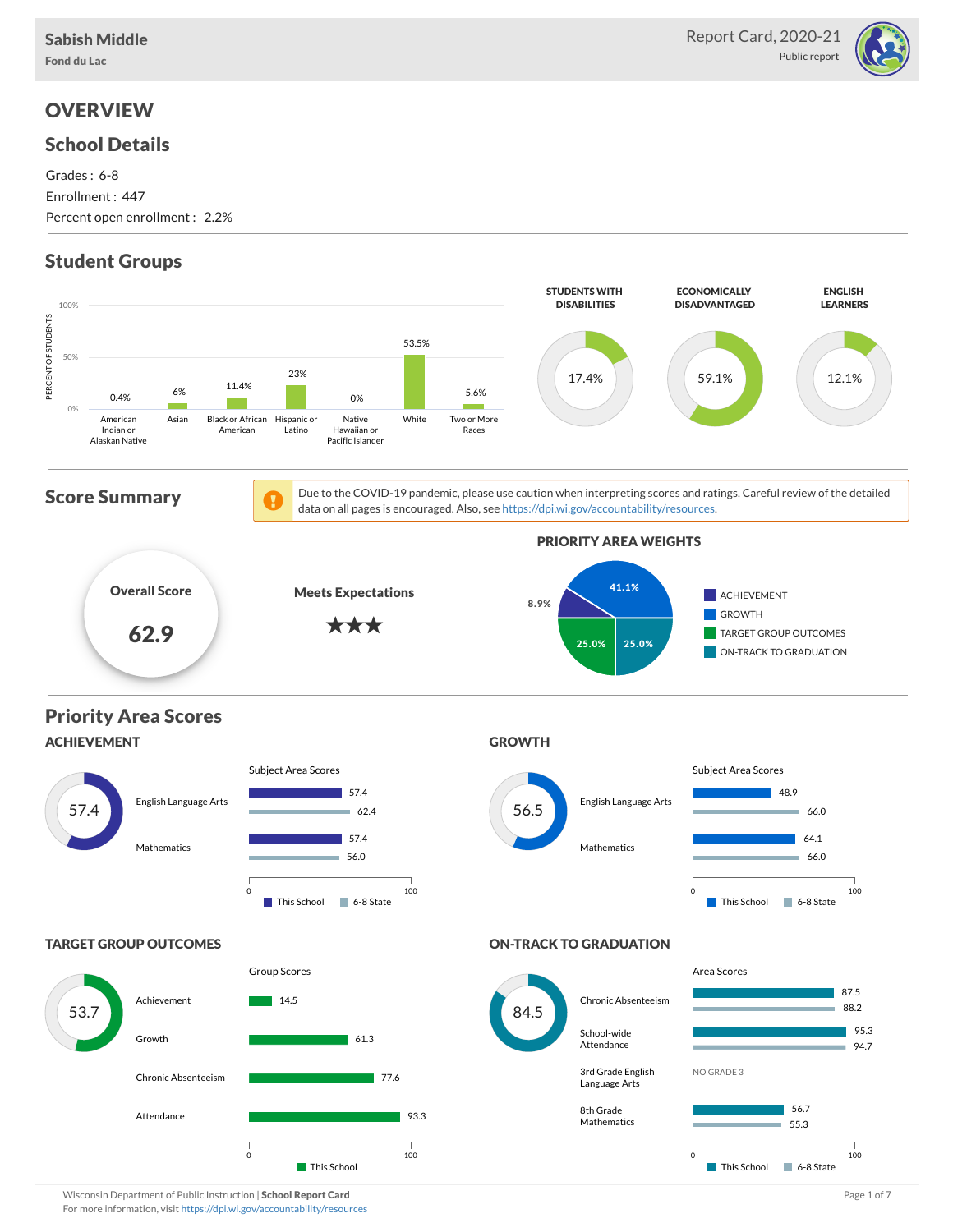Fond du Lac



## **OVERVIEW**

### School Details

Grades : 6-8 Enrollment : 447 Percent open enrollment : 2.2%

# Student Groups

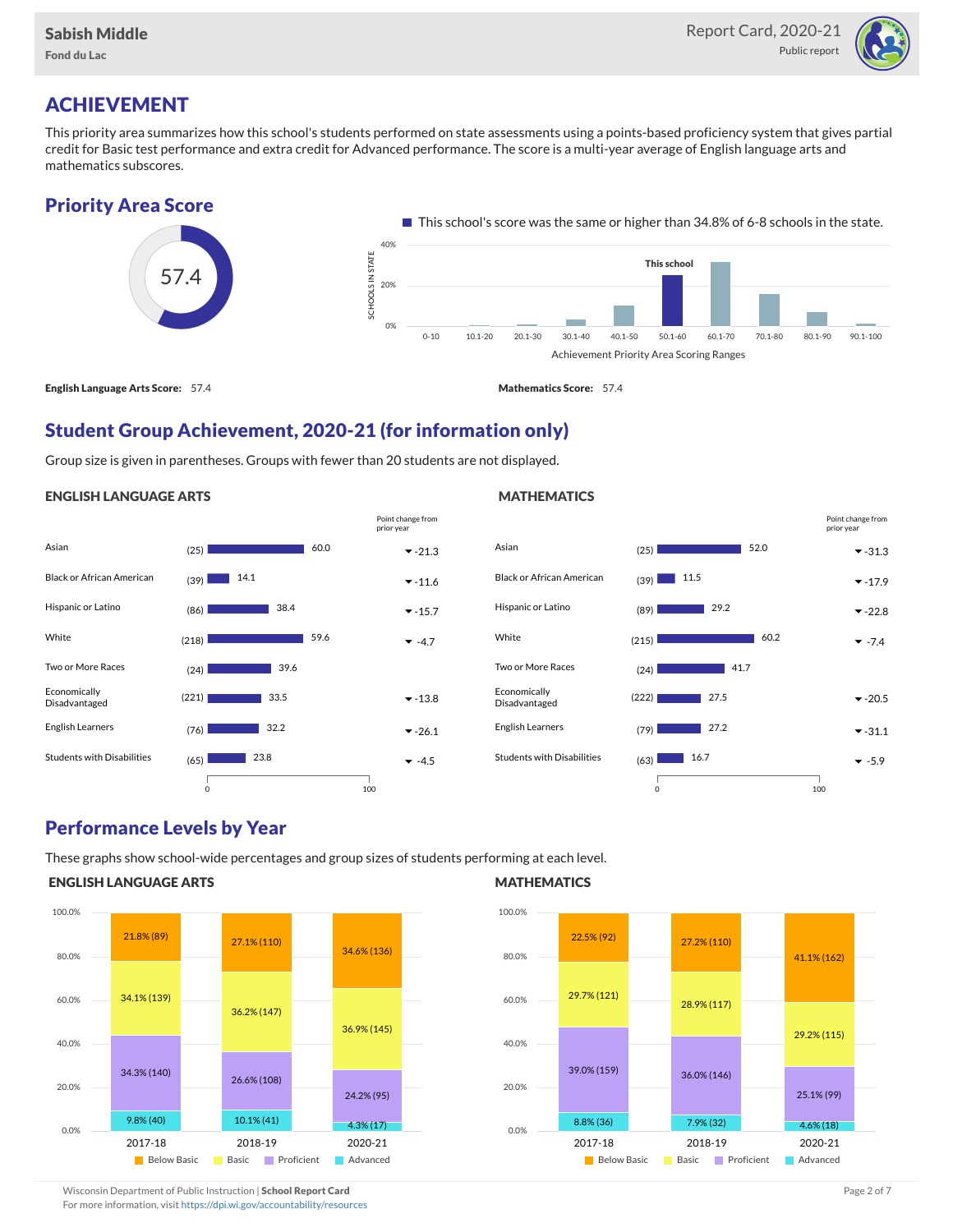

# ACHIEVEMENT

This priority area summarizes how this school's students performed on state assessments using a points-based proficiency system that gives partial credit for Basic test performance and extra credit for Advanced performance. The score is a multi-year average of English language arts and mathematics subscores.

## Priority Area Score



## Student Group Achievement, 2020-21 (for information only)

Group size is given in parentheses. Groups with fewer than 20 students are not displayed.

#### ENGLISH LANGUAGE ARTS

|                                   |       |      |      | Point change from<br>prior year |
|-----------------------------------|-------|------|------|---------------------------------|
| Asian                             | (25)  |      | 60.0 | $-21.3$                         |
| <b>Black or African American</b>  | (39)  | 14.1 |      | $-11.6$                         |
| Hispanic or Latino                | (86)  | 38.4 |      | $-15.7$                         |
| White                             | (218) |      | 59.6 | $-4.7$                          |
| Two or More Races                 | (24)  | 39.6 |      |                                 |
| Economically<br>Disadvantaged     | (221) | 33.5 |      | $-13.8$                         |
| English Learners                  | (76)  | 32.2 |      | $-26.1$                         |
| <b>Students with Disabilities</b> | (65)  | 23.8 |      | $-4.5$                          |
|                                   |       |      |      |                                 |

#### Asian  $(25)$   $31.3$ Black or African American  $_{(39)}$   $\blacksquare$  11.5 Hispanic or Latino (89) -22.8 29.2 White  $(215)$   $47.4$ Two or More Races (24) Economically Disadvantaged  $(222)$   $27.5$   $\rightarrow$  -20.5 English Learners (79)  $\boxed{27.2}$   $\boxed{\ }$  -31.1 Students with Disabilities (63) -5.9 52.0 60.2 41.7  $\overline{\phantom{0}}$  27.2  $16.7$ 0 100 Point change from prior year

## Performance Levels by Year

These graphs show school-wide percentages and group sizes of students performing at each level.

0 100

#### ENGLISH LANGUAGE ARTS



#### **MATHEMATICS**

**MATHEMATICS** 



Wisconsin Department of Public Instruction | School Report Card Page 2 of 7 and 2008 and 2009 and 2 of 7 and 2 of 7

For more information, visit <https://dpi.wi.gov/accountability/resources>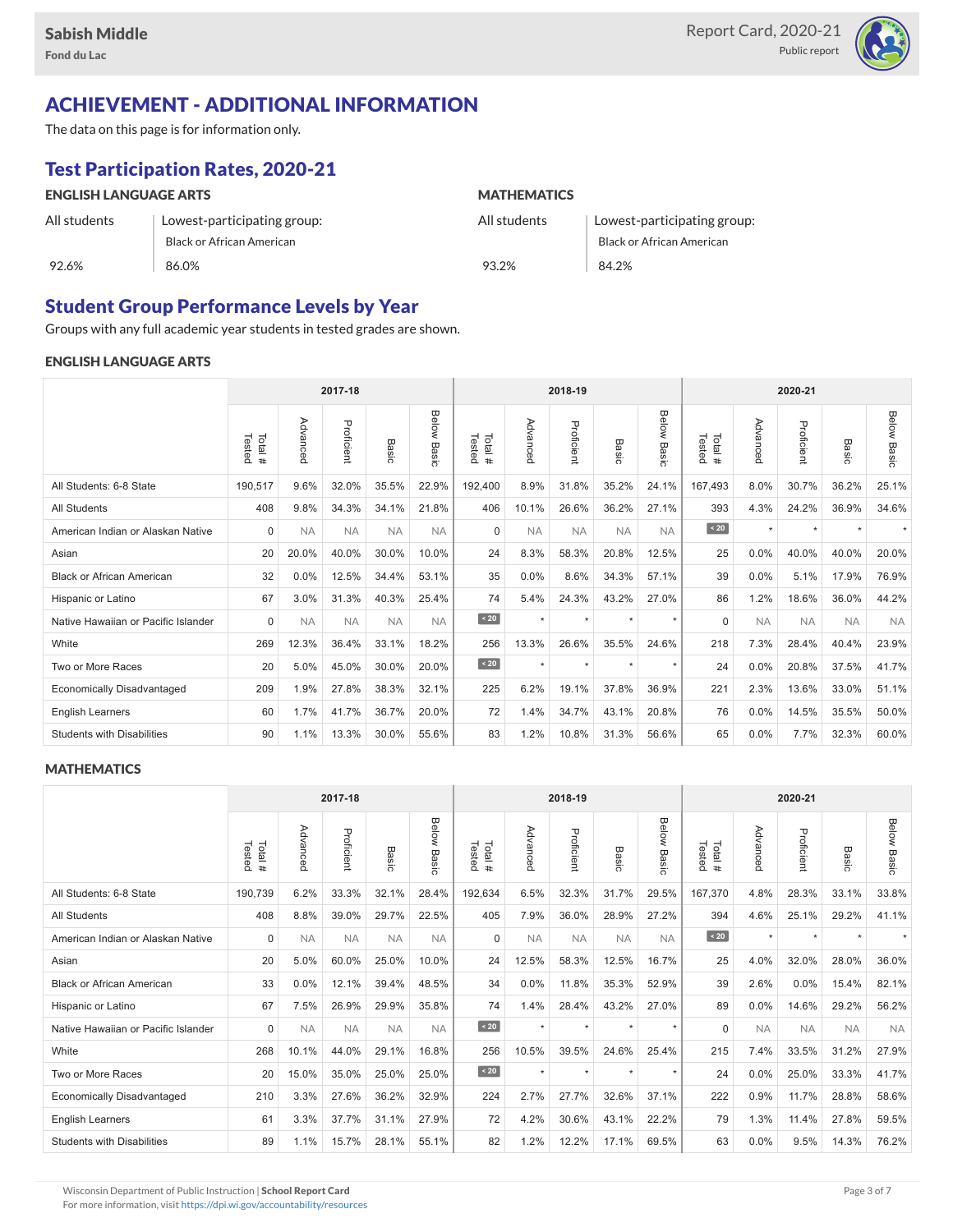

## ACHIEVEMENT - ADDITIONAL INFORMATION

The data on this page is for information only.

# Test Participation Rates, 2020-21

| <b>ENGLISH LANGUAGE ARTS</b> |                             | <b>MATHEMATICS</b> |                                  |  |  |  |  |
|------------------------------|-----------------------------|--------------------|----------------------------------|--|--|--|--|
| All students                 | Lowest-participating group: | All students       | Lowest-participating group:      |  |  |  |  |
|                              | Black or African American   |                    | <b>Black or African American</b> |  |  |  |  |
| 92.6%                        | 86.0%                       | 93.2%              | 84.2%                            |  |  |  |  |

## Student Group Performance Levels by Year

Groups with any full academic year students in tested grades are shown.

#### ENGLISH LANGUAGE ARTS

|                                     | 2017-18          |           |            |           |                |                  | 2018-19   |            |                  | 2020-21        |                  |           |            |                          |                    |
|-------------------------------------|------------------|-----------|------------|-----------|----------------|------------------|-----------|------------|------------------|----------------|------------------|-----------|------------|--------------------------|--------------------|
|                                     | Total#<br>Tested | Advanced  | Proficient | Basic     | Below<br>Basic | Tested<br>Total# | Advancec  | Proficient | Basi<br>$\Omega$ | Below<br>Basic | Tested<br>Total# | Advancec  | Proficient | Basic                    | <b>Below Basic</b> |
| All Students: 6-8 State             | 190,517          | 9.6%      | 32.0%      | 35.5%     | 22.9%          | 192,400          | 8.9%      | 31.8%      | 35.2%            | 24.1%          | 167,493          | 8.0%      | 30.7%      | 36.2%                    | 25.1%              |
| <b>All Students</b>                 | 408              | 9.8%      | 34.3%      | 34.1%     | 21.8%          | 406              | 10.1%     | 26.6%      | 36.2%            | 27.1%          | 393              | 4.3%      | 24.2%      | 36.9%                    | 34.6%              |
| American Indian or Alaskan Native   | $\Omega$         | <b>NA</b> | <b>NA</b>  | <b>NA</b> | <b>NA</b>      | $\Omega$         | <b>NA</b> | <b>NA</b>  | <b>NA</b>        | <b>NA</b>      | $\angle 20$      | $\star$   | $\star$    | $\overline{\phantom{a}}$ |                    |
| Asian                               | 20               | 20.0%     | 40.0%      | 30.0%     | 10.0%          | 24               | 8.3%      | 58.3%      | 20.8%            | 12.5%          | 25               | 0.0%      | 40.0%      | 40.0%                    | 20.0%              |
| <b>Black or African American</b>    | 32               | 0.0%      | 12.5%      | 34.4%     | 53.1%          | 35               | 0.0%      | 8.6%       | 34.3%            | 57.1%          | 39               | 0.0%      | 5.1%       | 17.9%                    | 76.9%              |
| Hispanic or Latino                  | 67               | 3.0%      | 31.3%      | 40.3%     | 25.4%          | 74               | 5.4%      | 24.3%      | 43.2%            | 27.0%          | 86               | 1.2%      | 18.6%      | 36.0%                    | 44.2%              |
| Native Hawaiian or Pacific Islander | $\Omega$         | <b>NA</b> | <b>NA</b>  | <b>NA</b> | <b>NA</b>      | $\sim 20$        | $\star$   | $\star$    | $\ddot{}$        | $\star$        | $\Omega$         | <b>NA</b> | <b>NA</b>  | <b>NA</b>                | <b>NA</b>          |
| White                               | 269              | 12.3%     | 36.4%      | 33.1%     | 18.2%          | 256              | 13.3%     | 26.6%      | 35.5%            | 24.6%          | 218              | 7.3%      | 28.4%      | 40.4%                    | 23.9%              |
| Two or More Races                   | 20               | 5.0%      | 45.0%      | 30.0%     | 20.0%          | $\sim 20$        | $\star$   | $\star$    | $\ddot{}$        | $\star$        | 24               | 0.0%      | 20.8%      | 37.5%                    | 41.7%              |
| <b>Economically Disadvantaged</b>   | 209              | 1.9%      | 27.8%      | 38.3%     | 32.1%          | 225              | 6.2%      | 19.1%      | 37.8%            | 36.9%          | 221              | 2.3%      | 13.6%      | 33.0%                    | 51.1%              |
| <b>English Learners</b>             | 60               | 1.7%      | 41.7%      | 36.7%     | 20.0%          | 72               | 1.4%      | 34.7%      | 43.1%            | 20.8%          | 76               | 0.0%      | 14.5%      | 35.5%                    | 50.0%              |
| <b>Students with Disabilities</b>   | 90               | 1.1%      | 13.3%      | 30.0%     | 55.6%          | 83               | 1.2%      | 10.8%      | 31.3%            | 56.6%          | 65               | 0.0%      | 7.7%       | 32.3%                    | 60.0%              |

#### **MATHEMATICS**

|                                     | 2017-18           |           |            |           |                |                   | 2018-19   |            |            | 2020-21               |                      |           |            |           |                    |
|-------------------------------------|-------------------|-----------|------------|-----------|----------------|-------------------|-----------|------------|------------|-----------------------|----------------------|-----------|------------|-----------|--------------------|
|                                     | Tested<br>Total # | Advanced  | Proficient | Basic     | Below<br>Basic | Total #<br>Tested | Advanced  | Proficient | Bas<br>ਨੌਂ | <b>Below</b><br>Basic | Tested<br>Total<br># | Advanced  | Proficient | Basic     | <b>Below Basic</b> |
| All Students: 6-8 State             | 190,739           | 6.2%      | 33.3%      | 32.1%     | 28.4%          | 192,634           | 6.5%      | 32.3%      | 31.7%      | 29.5%                 | 167,370              | 4.8%      | 28.3%      | 33.1%     | 33.8%              |
| <b>All Students</b>                 | 408               | 8.8%      | 39.0%      | 29.7%     | 22.5%          | 405               | 7.9%      | 36.0%      | 28.9%      | 27.2%                 | 394                  | 4.6%      | 25.1%      | 29.2%     | 41.1%              |
| American Indian or Alaskan Native   | $\mathbf 0$       | <b>NA</b> | <b>NA</b>  | <b>NA</b> | <b>NA</b>      | $\Omega$          | <b>NA</b> | <b>NA</b>  | <b>NA</b>  | <b>NA</b>             | $\sim 20$            | $\star$   | $\star$    |           |                    |
| Asian                               | 20                | 5.0%      | 60.0%      | 25.0%     | 10.0%          | 24                | 12.5%     | 58.3%      | 12.5%      | 16.7%                 | 25                   | 4.0%      | 32.0%      | 28.0%     | 36.0%              |
| <b>Black or African American</b>    | 33                | 0.0%      | 12.1%      | 39.4%     | 48.5%          | 34                | 0.0%      | 11.8%      | 35.3%      | 52.9%                 | 39                   | 2.6%      | 0.0%       | 15.4%     | 82.1%              |
| Hispanic or Latino                  | 67                | 7.5%      | 26.9%      | 29.9%     | 35.8%          | 74                | 1.4%      | 28.4%      | 43.2%      | 27.0%                 | 89                   | 0.0%      | 14.6%      | 29.2%     | 56.2%              |
| Native Hawaiian or Pacific Islander | $\Omega$          | <b>NA</b> | <b>NA</b>  | <b>NA</b> | <b>NA</b>      | $\leq 20$         | $\star$   | $\star$    | $\star$    | $\star$               | $\Omega$             | <b>NA</b> | <b>NA</b>  | <b>NA</b> | <b>NA</b>          |
| White                               | 268               | 10.1%     | 44.0%      | 29.1%     | 16.8%          | 256               | 10.5%     | 39.5%      | 24.6%      | 25.4%                 | 215                  | 7.4%      | 33.5%      | 31.2%     | 27.9%              |
| Two or More Races                   | 20                | 15.0%     | 35.0%      | 25.0%     | 25.0%          | $\sim 20$         | $\star$   | $\star$    | $\star$    | $\star$               | 24                   | 0.0%      | 25.0%      | 33.3%     | 41.7%              |
| <b>Economically Disadvantaged</b>   | 210               | 3.3%      | 27.6%      | 36.2%     | 32.9%          | 224               | 2.7%      | 27.7%      | 32.6%      | 37.1%                 | 222                  | 0.9%      | 11.7%      | 28.8%     | 58.6%              |
| English Learners                    | 61                | 3.3%      | 37.7%      | 31.1%     | 27.9%          | 72                | 4.2%      | 30.6%      | 43.1%      | 22.2%                 | 79                   | 1.3%      | 11.4%      | 27.8%     | 59.5%              |
| <b>Students with Disabilities</b>   | 89                | 1.1%      | 15.7%      | 28.1%     | 55.1%          | 82                | 1.2%      | 12.2%      | 17.1%      | 69.5%                 | 63                   | 0.0%      | 9.5%       | 14.3%     | 76.2%              |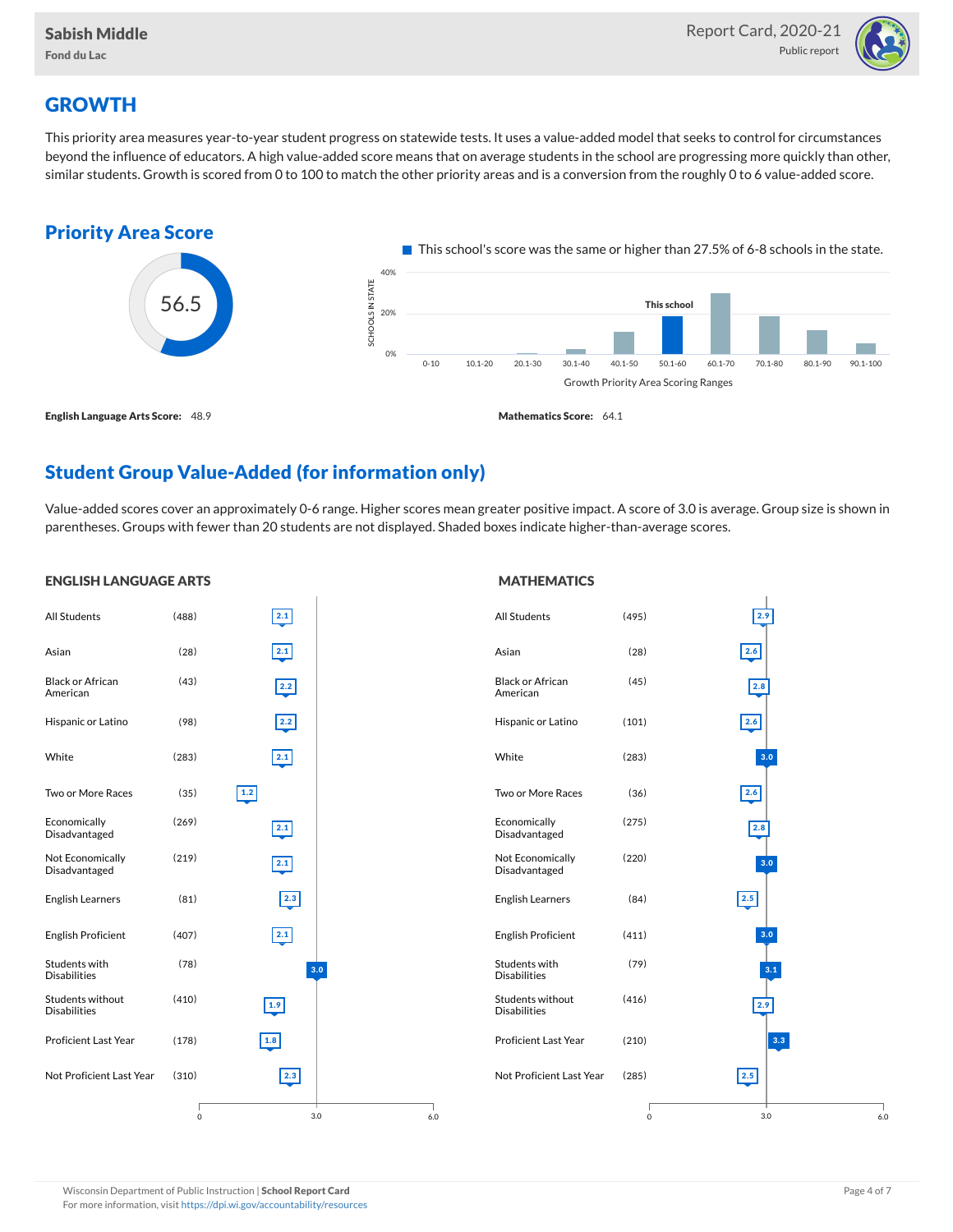

# **GROWTH**

This priority area measures year-to-year student progress on statewide tests. It uses a value-added model that seeks to control for circumstances beyond the influence of educators. A high value-added score means that on average students in the school are progressing more quickly than other, similar students. Growth is scored from 0 to 100 to match the other priority areas and is a conversion from the roughly 0 to 6 value-added score.



## Student Group Value-Added (for information only)

Value-added scores cover an approximately 0-6 range. Higher scores mean greater positive impact. A score of 3.0 is average. Group size is shown in parentheses. Groups with fewer than 20 students are not displayed. Shaded boxes indicate higher-than-average scores.

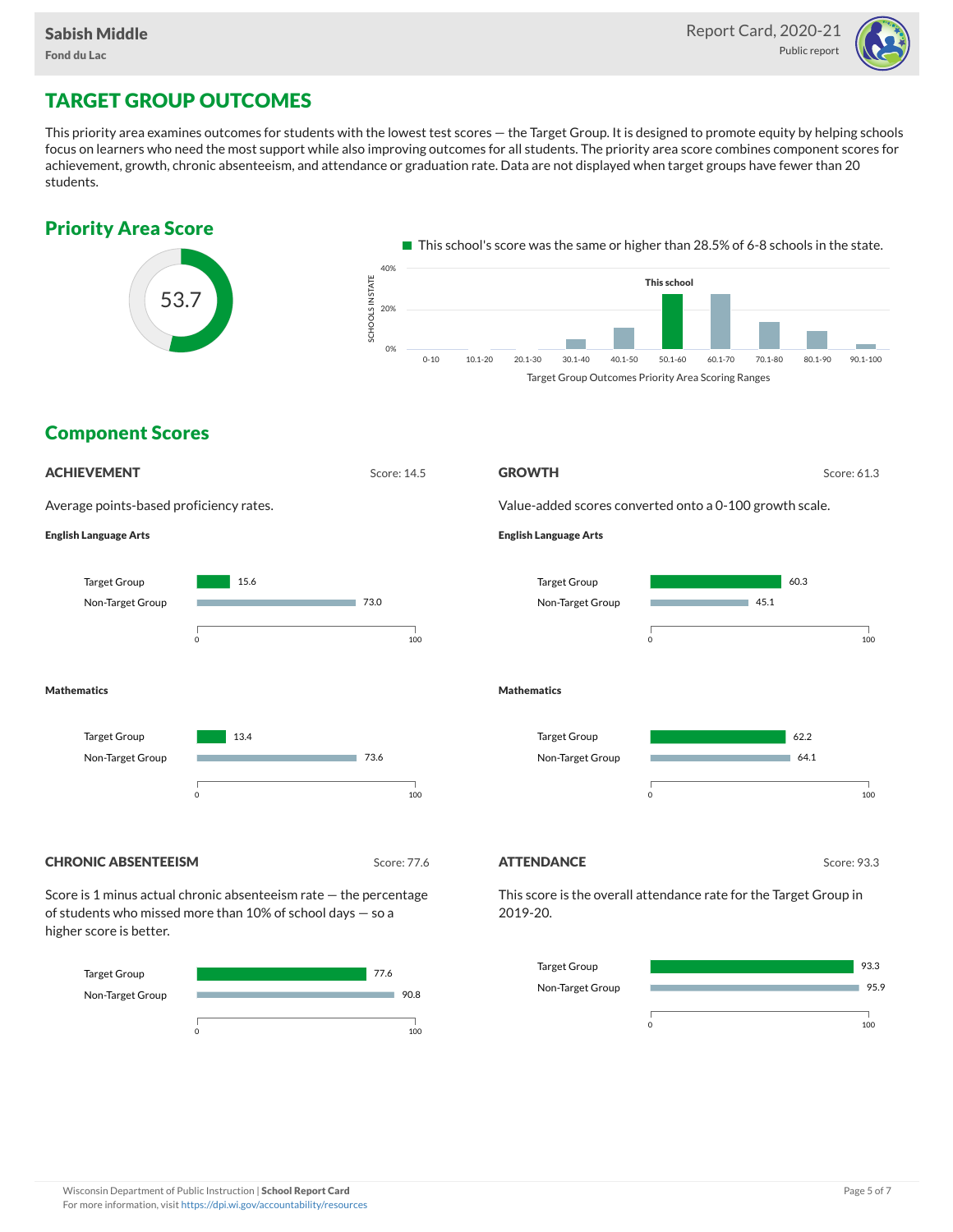

# TARGET GROUP OUTCOMES

This priority area examines outcomes for students with the lowest test scores — the Target Group. It is designed to promote equity by helping schools focus on learners who need the most support while also improving outcomes for all students. The priority area score combines component scores for achievement, growth, chronic absenteeism, and attendance or graduation rate. Data are not displayed when target groups have fewer than 20 students.





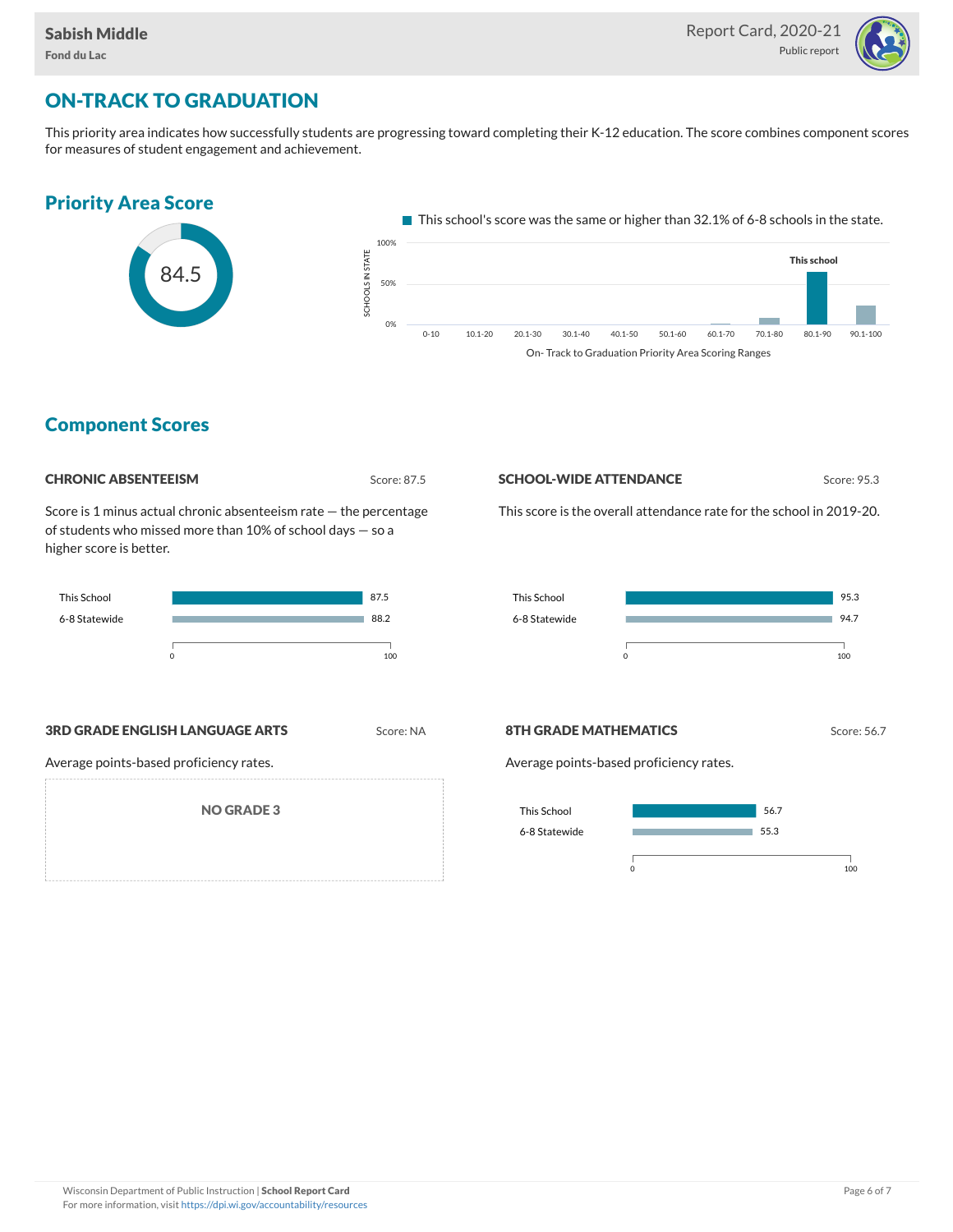

# ON-TRACK TO GRADUATION

This priority area indicates how successfully students are progressing toward completing their K-12 education. The score combines component scores for measures of student engagement and achievement.



## Component Scores